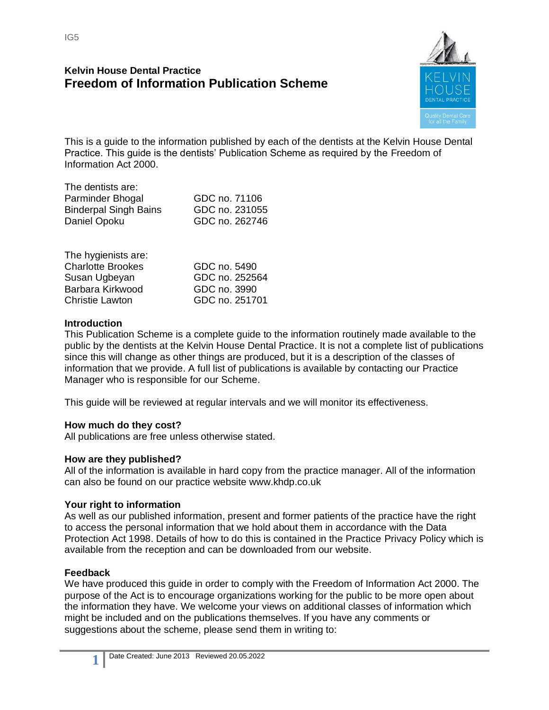IG5

# **Kelvin House Dental Practice Freedom of Information Publication Scheme**



This is a guide to the information published by each of the dentists at the Kelvin House Dental Practice. This guide is the dentists' Publication Scheme as required by the Freedom of Information Act 2000.

| GDC no. 71106  |
|----------------|
| GDC no. 231055 |
| GDC no. 262746 |
|                |

| The hygienists are:      |                |
|--------------------------|----------------|
| <b>Charlotte Brookes</b> | GDC no. 5490   |
| Susan Ugbeyan            | GDC no. 252564 |
| Barbara Kirkwood         | GDC no. 3990   |
| <b>Christie Lawton</b>   | GDC no. 251701 |

#### **Introduction**

This Publication Scheme is a complete guide to the information routinely made available to the public by the dentists at the Kelvin House Dental Practice. It is not a complete list of publications since this will change as other things are produced, but it is a description of the classes of information that we provide. A full list of publications is available by contacting our Practice Manager who is responsible for our Scheme.

This guide will be reviewed at regular intervals and we will monitor its effectiveness.

## **How much do they cost?**

All publications are free unless otherwise stated.

#### **How are they published?**

All of the information is available in hard copy from the practice manager. All of the information can also be found on our practice website www.khdp.co.uk

#### **Your right to information**

As well as our published information, present and former patients of the practice have the right to access the personal information that we hold about them in accordance with the Data Protection Act 1998. Details of how to do this is contained in the Practice Privacy Policy which is available from the reception and can be downloaded from our website.

#### **Feedback**

We have produced this guide in order to comply with the Freedom of Information Act 2000. The purpose of the Act is to encourage organizations working for the public to be more open about the information they have. We welcome your views on additional classes of information which might be included and on the publications themselves. If you have any comments or suggestions about the scheme, please send them in writing to: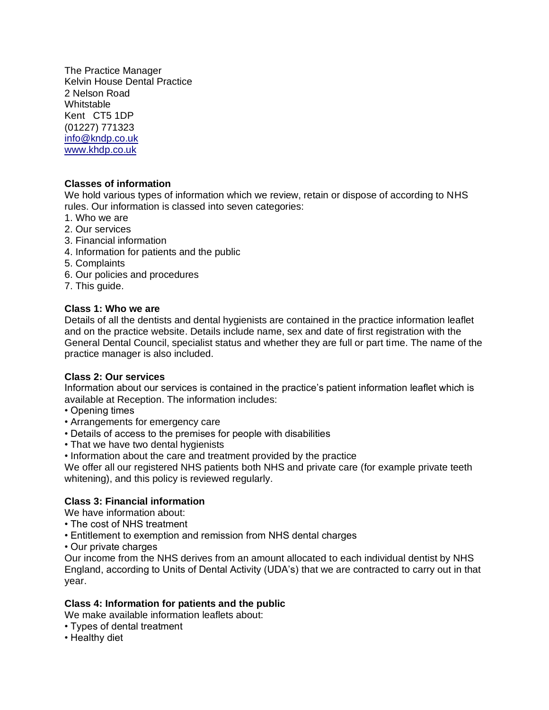The Practice Manager Kelvin House Dental Practice 2 Nelson Road Whitstable Kent CT5 1DP (01227) 771323 [info@kndp.co.uk](mailto:info@kndp.co.uk) [www.khdp.co.uk](http://www.khdp.co.uk/)

### **Classes of information**

We hold various types of information which we review, retain or dispose of according to NHS rules. Our information is classed into seven categories:

- 1. Who we are
- 2. Our services
- 3. Financial information
- 4. Information for patients and the public
- 5. Complaints
- 6. Our policies and procedures
- 7. This guide.

#### **Class 1: Who we are**

Details of all the dentists and dental hygienists are contained in the practice information leaflet and on the practice website. Details include name, sex and date of first registration with the General Dental Council, specialist status and whether they are full or part time. The name of the practice manager is also included.

#### **Class 2: Our services**

Information about our services is contained in the practice's patient information leaflet which is available at Reception. The information includes:

- Opening times
- Arrangements for emergency care
- Details of access to the premises for people with disabilities
- That we have two dental hygienists
- Information about the care and treatment provided by the practice

We offer all our registered NHS patients both NHS and private care (for example private teeth whitening), and this policy is reviewed regularly.

## **Class 3: Financial information**

We have information about:

- The cost of NHS treatment
- Entitlement to exemption and remission from NHS dental charges
- Our private charges

Our income from the NHS derives from an amount allocated to each individual dentist by NHS England, according to Units of Dental Activity (UDA's) that we are contracted to carry out in that year.

## **Class 4: Information for patients and the public**

We make available information leaflets about:

- Types of dental treatment
- Healthy diet